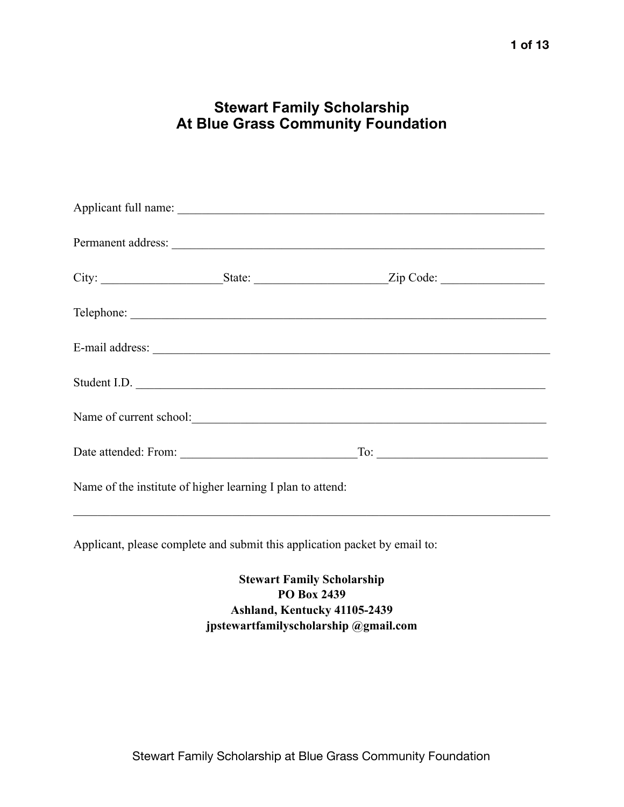# **Stewart Family Scholarship At Blue Grass Community Foundation**

|                                                            | Telephone:              |  |
|------------------------------------------------------------|-------------------------|--|
|                                                            |                         |  |
|                                                            | Student I.D.            |  |
|                                                            | Name of current school: |  |
|                                                            |                         |  |
| Name of the institute of higher learning I plan to attend: |                         |  |

Applicant, please complete and submit this application packet by email to:

**Stewart Family Scholarship PO Box 2439 Ashland, Kentucky 41105-2439 jpstewartfamilyscholarship @gmail.com**

 $\mathcal{L}_\mathcal{L} = \{ \mathcal{L}_\mathcal{L} = \{ \mathcal{L}_\mathcal{L} = \{ \mathcal{L}_\mathcal{L} = \{ \mathcal{L}_\mathcal{L} = \{ \mathcal{L}_\mathcal{L} = \{ \mathcal{L}_\mathcal{L} = \{ \mathcal{L}_\mathcal{L} = \{ \mathcal{L}_\mathcal{L} = \{ \mathcal{L}_\mathcal{L} = \{ \mathcal{L}_\mathcal{L} = \{ \mathcal{L}_\mathcal{L} = \{ \mathcal{L}_\mathcal{L} = \{ \mathcal{L}_\mathcal{L} = \{ \mathcal{L}_\mathcal{$ 

Stewart Family Scholarship at Blue Grass Community Foundation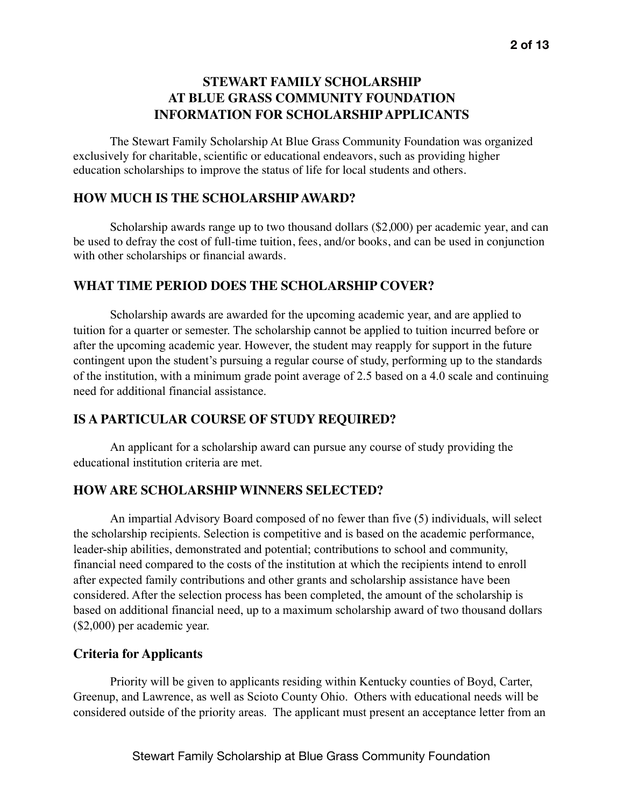### **STEWART FAMILY SCHOLARSHIP AT BLUE GRASS COMMUNITY FOUNDATION INFORMATION FOR SCHOLARSHIP APPLICANTS**

The Stewart Family Scholarship At Blue Grass Community Foundation was organized exclusively for charitable, scientific or educational endeavors, such as providing higher education scholarships to improve the status of life for local students and others.

#### **HOW MUCH IS THE SCHOLARSHIP AWARD?**

Scholarship awards range up to two thousand dollars (\$2,000) per academic year, and can be used to defray the cost of full-time tuition, fees, and/or books, and can be used in conjunction with other scholarships or financial awards.

#### **WHAT TIME PERIOD DOES THE SCHOLARSHIP COVER?**

 Scholarship awards are awarded for the upcoming academic year, and are applied to tuition for a quarter or semester. The scholarship cannot be applied to tuition incurred before or after the upcoming academic year. However, the student may reapply for support in the future contingent upon the student's pursuing a regular course of study, performing up to the standards of the institution, with a minimum grade point average of 2.5 based on a 4.0 scale and continuing need for additional financial assistance.

### **IS A PARTICULAR COURSE OF STUDY REQUIRED?**

 An applicant for a scholarship award can pursue any course of study providing the educational institution criteria are met.

#### **HOW ARE SCHOLARSHIP WINNERS SELECTED?**

 An impartial Advisory Board composed of no fewer than five (5) individuals, will select the scholarship recipients. Selection is competitive and is based on the academic performance, leader-ship abilities, demonstrated and potential; contributions to school and community, financial need compared to the costs of the institution at which the recipients intend to enroll after expected family contributions and other grants and scholarship assistance have been considered. After the selection process has been completed, the amount of the scholarship is based on additional financial need, up to a maximum scholarship award of two thousand dollars (\$2,000) per academic year.

#### **Criteria for Applicants**

 Priority will be given to applicants residing within Kentucky counties of Boyd, Carter, Greenup, and Lawrence, as well as Scioto County Ohio. Others with educational needs will be considered outside of the priority areas. The applicant must present an acceptance letter from an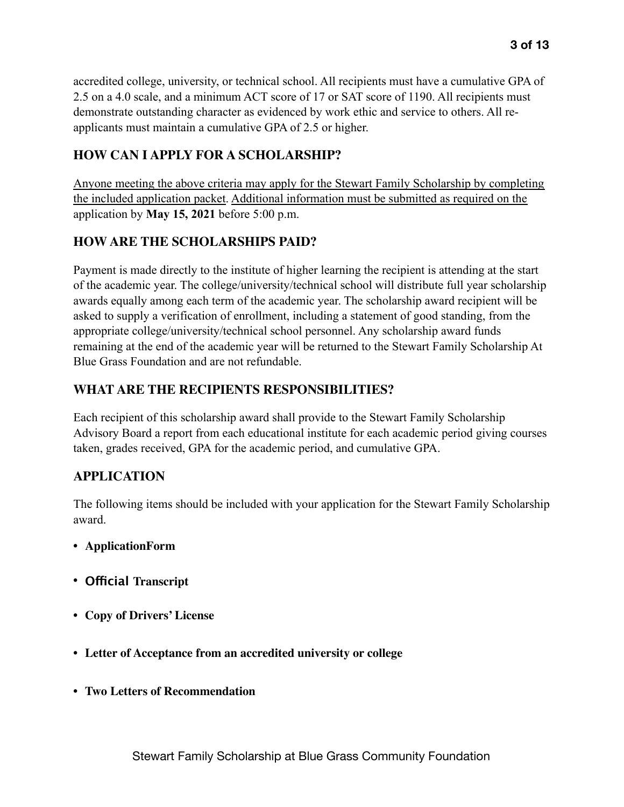accredited college, university, or technical school. All recipients must have a cumulative GPA of 2.5 on a 4.0 scale, and a minimum ACT score of 17 or SAT score of 1190. All recipients must demonstrate outstanding character as evidenced by work ethic and service to others. All reapplicants must maintain a cumulative GPA of 2.5 or higher.

# **HOW CAN I APPLY FOR A SCHOLARSHIP?**

Anyone meeting the above criteria may apply for the Stewart Family Scholarship by completing the included application packet. Additional information must be submitted as required on the application by **May 15, 2021** before 5:00 p.m.

# **HOW ARE THE SCHOLARSHIPS PAID?**

Payment is made directly to the institute of higher learning the recipient is attending at the start of the academic year. The college/university/technical school will distribute full year scholarship awards equally among each term of the academic year. The scholarship award recipient will be asked to supply a verification of enrollment, including a statement of good standing, from the appropriate college/university/technical school personnel. Any scholarship award funds remaining at the end of the academic year will be returned to the Stewart Family Scholarship At Blue Grass Foundation and are not refundable.

# **WHAT ARE THE RECIPIENTS RESPONSIBILITIES?**

Each recipient of this scholarship award shall provide to the Stewart Family Scholarship Advisory Board a report from each educational institute for each academic period giving courses taken, grades received, GPA for the academic period, and cumulative GPA.

# **APPLICATION**

The following items should be included with your application for the Stewart Family Scholarship award.

- **• ApplicationForm**
- **• Ofcial Transcript**
- **• Copy of Drivers' License**
- **• Letter of Acceptance from an accredited university or college**
- **• Two Letters of Recommendation**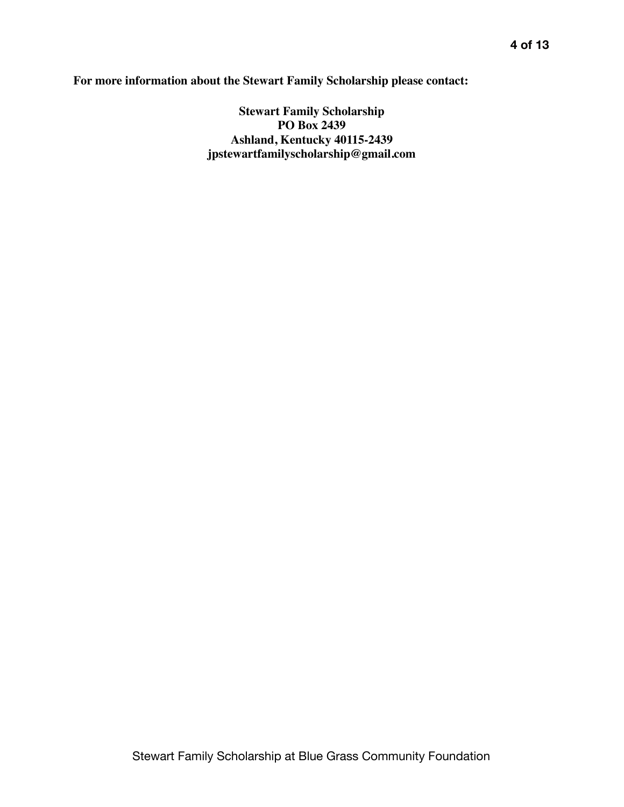#### **For more information about the Stewart Family Scholarship please contact:**

**Stewart Family Scholarship PO Box 2439 Ashland, Kentucky 40115-2439 jpstewartfamilyscholarship@gmail.com**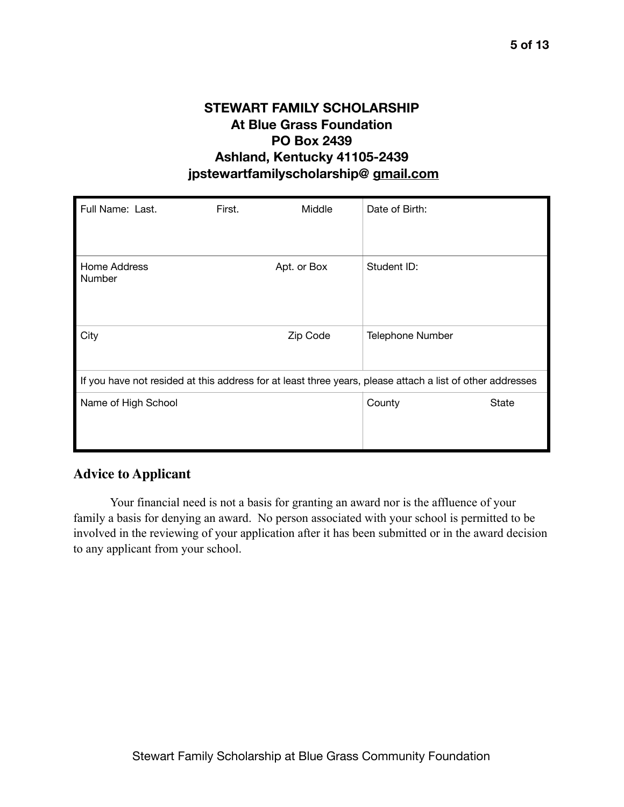# **STEWART FAMILY SCHOLARSHIP At Blue Grass Foundation PO Box 2439 Ashland, Kentucky 41105-2439 jpstewartfamilyscholarship@ [gmail.com](http://gmail.com)**

| Full Name: Last.                                                                                          | First.      | Middle   | Date of Birth:   |              |
|-----------------------------------------------------------------------------------------------------------|-------------|----------|------------------|--------------|
| Home Address<br>Number                                                                                    | Apt. or Box |          | Student ID:      |              |
| City                                                                                                      |             | Zip Code | Telephone Number |              |
| If you have not resided at this address for at least three years, please attach a list of other addresses |             |          |                  |              |
| Name of High School                                                                                       |             |          | County           | <b>State</b> |

#### **Advice to Applicant**

Your financial need is not a basis for granting an award nor is the affluence of your family a basis for denying an award. No person associated with your school is permitted to be involved in the reviewing of your application after it has been submitted or in the award decision to any applicant from your school.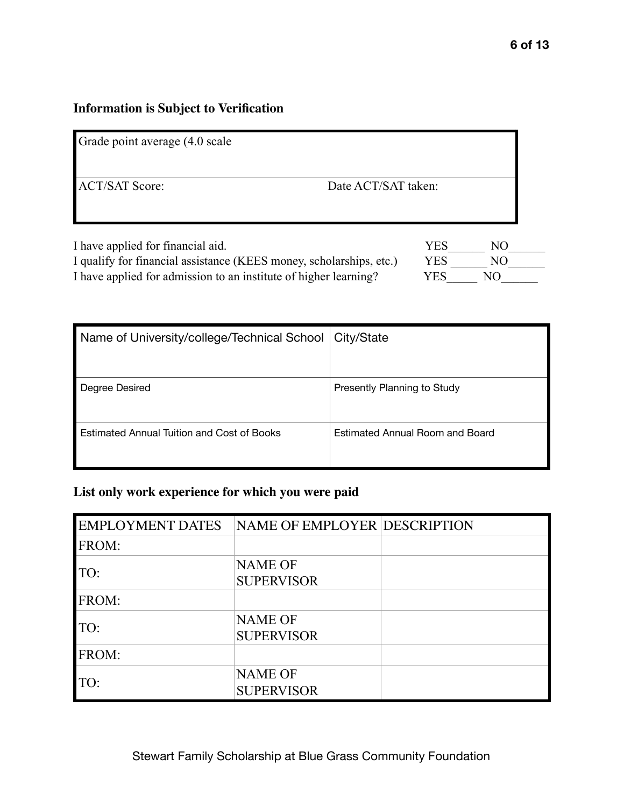# **Information is Subject to Verification**

| Grade point average (4.0 scale                                      |            |                |
|---------------------------------------------------------------------|------------|----------------|
| <b>ACT/SAT Score:</b><br>Date ACT/SAT taken:                        |            |                |
| I have applied for financial aid.                                   | <b>YES</b> | NO             |
| I qualify for financial assistance (KEES money, scholarships, etc.) | YES        | N <sub>O</sub> |
| I have applied for admission to an institute of higher learning?    | YES        | NO             |

| Name of University/college/Technical School   City/State |                                 |
|----------------------------------------------------------|---------------------------------|
| Degree Desired                                           | Presently Planning to Study     |
| <b>Estimated Annual Tuition and Cost of Books</b>        | Estimated Annual Room and Board |

## **List only work experience for which you were paid**

| <b>EMPLOYMENT DATES</b> | <b>NAME OF EMPLOYER DESCRIPTION</b> |  |
|-------------------------|-------------------------------------|--|
| FROM:                   |                                     |  |
| TO:                     | <b>NAME OF</b><br><b>SUPERVISOR</b> |  |
| FROM:                   |                                     |  |
| TO:                     | <b>NAME OF</b><br><b>SUPERVISOR</b> |  |
| FROM:                   |                                     |  |
| TO:                     | <b>NAME OF</b><br><b>SUPERVISOR</b> |  |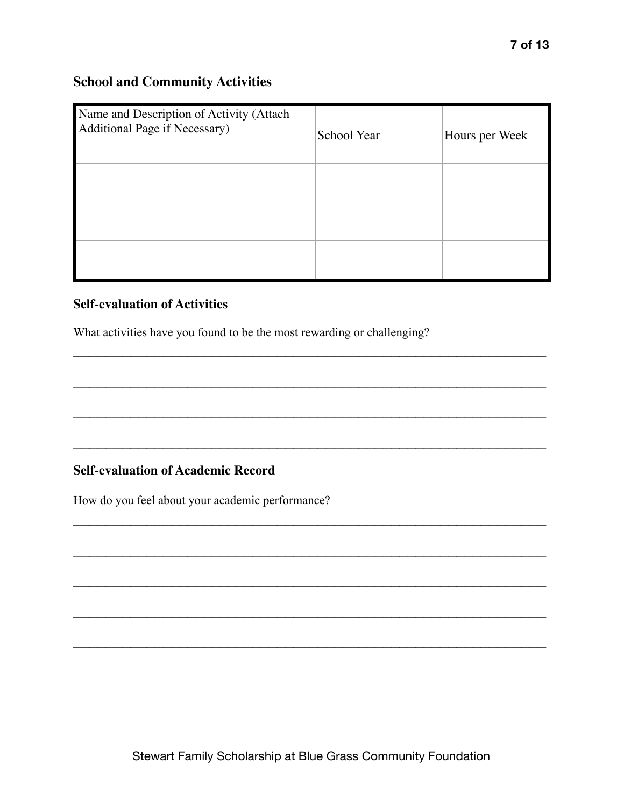# **School and Community Activities**

| Name and Description of Activity (Attach<br>Additional Page if Necessary) | School Year | Hours per Week |
|---------------------------------------------------------------------------|-------------|----------------|
|                                                                           |             |                |
|                                                                           |             |                |
|                                                                           |             |                |

 $\mathcal{L}_\text{max}$  and the contract of the contract of the contract of the contract of the contract of the contract of

 $\mathcal{L}_\text{max}$  and the contract of the contract of the contract of the contract of the contract of the contract of

 $\mathcal{L}_\text{max}$  and the contract of the contract of the contract of the contract of the contract of the contract of

 $\mathcal{L}_\text{max}$  and the contract of the contract of the contract of the contract of the contract of the contract of

 $\mathcal{L}_\text{max}$  , and the contract of the contract of the contract of the contract of the contract of the contract of the contract of the contract of the contract of the contract of the contract of the contract of the contr

 $\mathcal{L}_\text{max}$  , and the contract of the contract of the contract of the contract of the contract of the contract of the contract of the contract of the contract of the contract of the contract of the contract of the contr

 $\mathcal{L}_\text{max}$  , and the contract of the contract of the contract of the contract of the contract of the contract of the contract of the contract of the contract of the contract of the contract of the contract of the contr

 $\mathcal{L}_\text{max}$  , and the contract of the contract of the contract of the contract of the contract of the contract of the contract of the contract of the contract of the contract of the contract of the contract of the contr

 $\mathcal{L}_\text{max}$  , and the contract of the contract of the contract of the contract of the contract of the contract of the contract of the contract of the contract of the contract of the contract of the contract of the contr

## **Self-evaluation of Activities**

What activities have you found to be the most rewarding or challenging?

### **Self-evaluation of Academic Record**

How do you feel about your academic performance?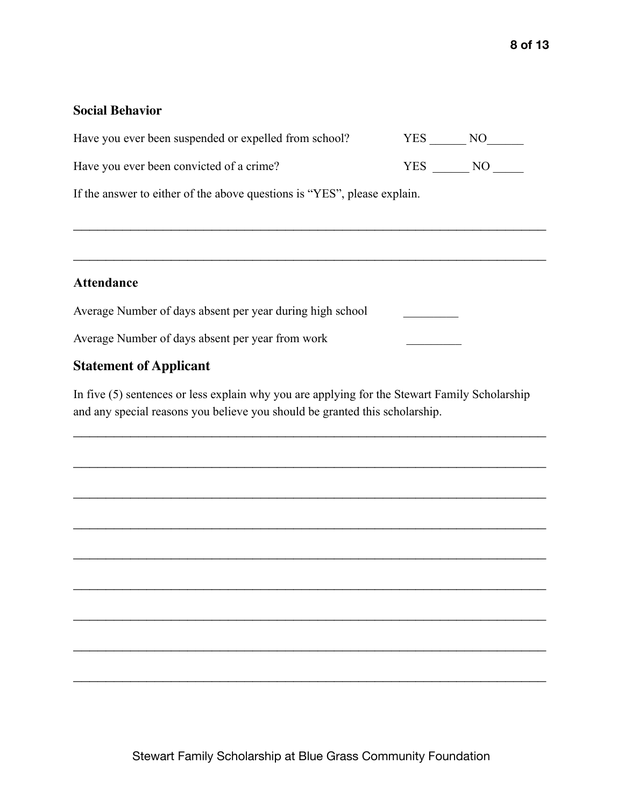### **Social Behavior**

| Have you ever been suspended or expelled from school? | YES. |     |
|-------------------------------------------------------|------|-----|
| Have you ever been convicted of a crime?              | YES. | NO. |

 $\mathcal{L}_\text{max}$  , and the contract of the contract of the contract of the contract of the contract of the contract of the contract of the contract of the contract of the contract of the contract of the contract of the contr

 $\mathcal{L}_\text{max}$  , and the contract of the contract of the contract of the contract of the contract of the contract of the contract of the contract of the contract of the contract of the contract of the contract of the contr

If the answer to either of the above questions is "YES", please explain.

#### **Attendance**

Average Number of days absent per year during high school \_\_\_\_\_\_\_\_\_\_\_\_\_\_\_\_\_\_\_\_\_\_

Average Number of days absent per year from work \_\_\_\_\_\_\_\_\_

## **Statement of Applicant**

In five (5) sentences or less explain why you are applying for the Stewart Family Scholarship and any special reasons you believe you should be granted this scholarship.

 $\mathcal{L}_\text{max}$  and the contract of the contract of the contract of the contract of the contract of the contract of

 $\mathcal{L}_\text{max}$  and the contract of the contract of the contract of the contract of the contract of the contract of

 $\mathcal{L}_\text{max}$  and the contract of the contract of the contract of the contract of the contract of the contract of

 $\mathcal{L}_\text{max}$  and the contract of the contract of the contract of the contract of the contract of the contract of  $\mathcal{L}_\text{max}$  and the contract of the contract of the contract of the contract of the contract of the contract of  $\mathcal{L}_\text{max}$  and the contract of the contract of the contract of the contract of the contract of the contract of  $\mathcal{L}_\text{max}$  and the contract of the contract of the contract of the contract of the contract of the contract of  $\mathcal{L}_\text{max}$  and the contract of the contract of the contract of the contract of the contract of the contract of  $\mathcal{L}_\text{max}$  and the contract of the contract of the contract of the contract of the contract of the contract of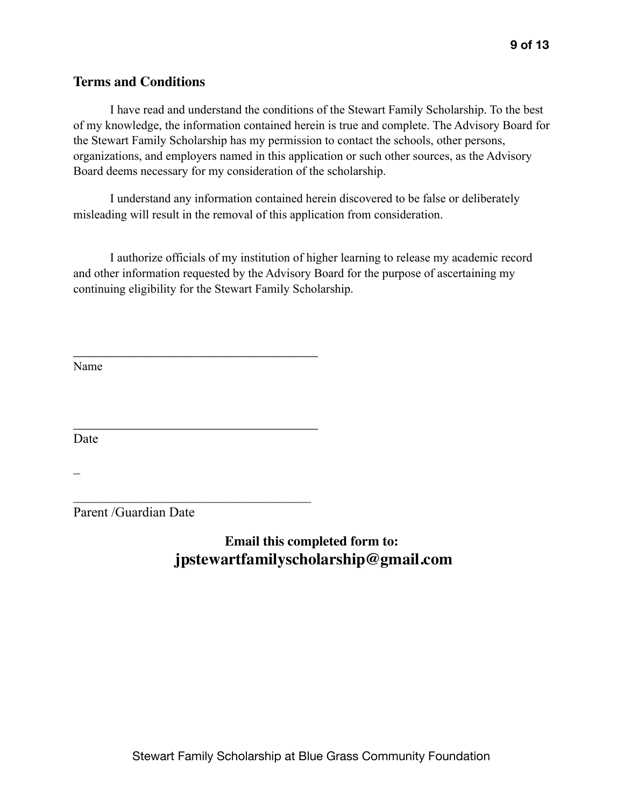### **Terms and Conditions**

 I have read and understand the conditions of the Stewart Family Scholarship. To the best of my knowledge, the information contained herein is true and complete. The Advisory Board for the Stewart Family Scholarship has my permission to contact the schools, other persons, organizations, and employers named in this application or such other sources, as the Advisory Board deems necessary for my consideration of the scholarship.

I understand any information contained herein discovered to be false or deliberately misleading will result in the removal of this application from consideration.

I authorize officials of my institution of higher learning to release my academic record and other information requested by the Advisory Board for the purpose of ascertaining my continuing eligibility for the Stewart Family Scholarship.

Name

Date

 $\overline{\phantom{a}}$ 

Parent /Guardian Date

 $\overline{\phantom{a}}$  , where  $\overline{\phantom{a}}$  , where  $\overline{\phantom{a}}$  , where  $\overline{\phantom{a}}$ 

 $\overline{\phantom{a}}$  , where  $\overline{\phantom{a}}$  , where  $\overline{\phantom{a}}$  , where  $\overline{\phantom{a}}$ 

**Email this completed form to: jpstewartfamilyscholarship@gmail.com**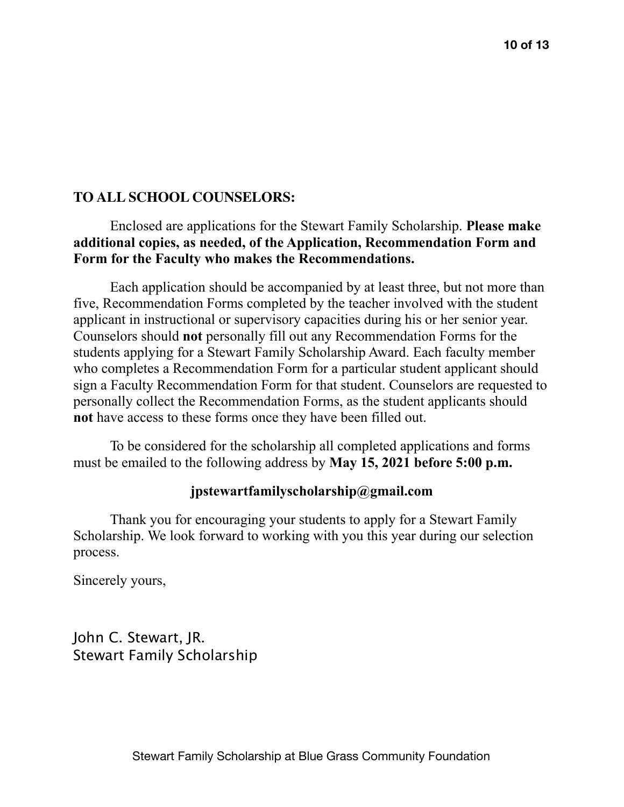# **TO ALL SCHOOL COUNSELORS:**

# Enclosed are applications for the Stewart Family Scholarship. **Please make additional copies, as needed, of the Application, Recommendation Form and Form for the Faculty who makes the Recommendations.**

 Each application should be accompanied by at least three, but not more than five, Recommendation Forms completed by the teacher involved with the student applicant in instructional or supervisory capacities during his or her senior year. Counselors should **not** personally fill out any Recommendation Forms for the students applying for a Stewart Family Scholarship Award. Each faculty member who completes a Recommendation Form for a particular student applicant should sign a Faculty Recommendation Form for that student. Counselors are requested to personally collect the Recommendation Forms, as the student applicants should **not** have access to these forms once they have been filled out.

To be considered for the scholarship all completed applications and forms must be emailed to the following address by **May 15, 2021 before 5:00 p.m.**

### **jpstewartfamilyscholarship@gmail.com**

 Thank you for encouraging your students to apply for a Stewart Family Scholarship. We look forward to working with you this year during our selection process.

Sincerely yours,

John C. Stewart, JR. Stewart Family Scholarship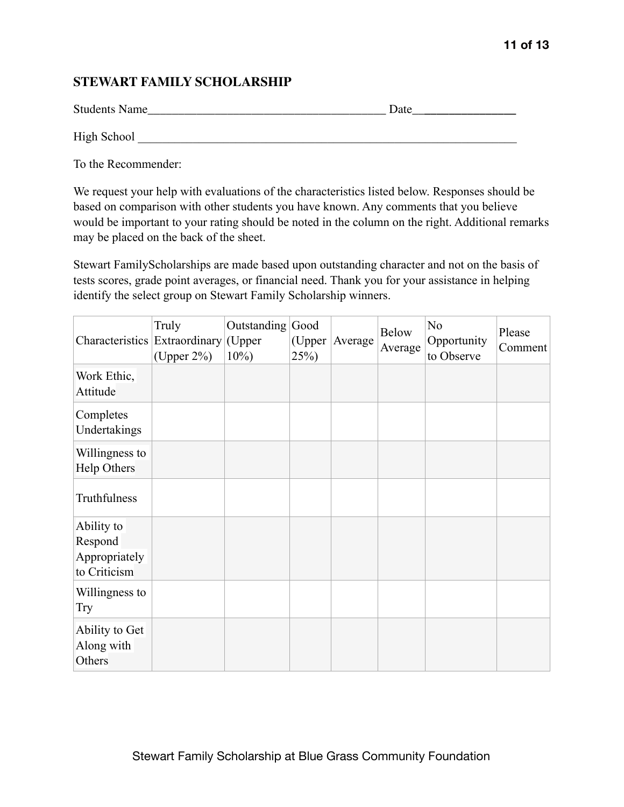### **STEWART FAMILY SCHOLARSHIP**

| Students<br>імян<br>лпе |  |
|-------------------------|--|
|                         |  |

High School \_\_\_\_\_\_\_\_\_\_\_\_\_\_\_\_\_\_\_\_\_\_\_\_\_\_\_\_\_\_\_\_\_\_\_\_\_\_\_\_\_\_\_\_\_\_\_\_\_\_\_\_\_\_\_\_\_\_\_\_\_\_

To the Recommender:

We request your help with evaluations of the characteristics listed below. Responses should be based on comparison with other students you have known. Any comments that you believe would be important to your rating should be noted in the column on the right. Additional remarks may be placed on the back of the sheet.

Stewart FamilyScholarships are made based upon outstanding character and not on the basis of tests scores, grade point averages, or financial need. Thank you for your assistance in helping identify the select group on Stewart Family Scholarship winners.

| Characteristics Extraordinary (Upper                   | Truly<br>(Upper $2\%$ ) | Outstanding Good<br>$10\%)$ | (Upper<br>25% | Average | <b>Below</b><br>Average | N <sub>0</sub><br>Opportunity<br>to Observe | Please<br>Comment |
|--------------------------------------------------------|-------------------------|-----------------------------|---------------|---------|-------------------------|---------------------------------------------|-------------------|
| Work Ethic,<br>Attitude                                |                         |                             |               |         |                         |                                             |                   |
| Completes<br>Undertakings                              |                         |                             |               |         |                         |                                             |                   |
| Willingness to<br><b>Help Others</b>                   |                         |                             |               |         |                         |                                             |                   |
| Truthfulness                                           |                         |                             |               |         |                         |                                             |                   |
| Ability to<br>Respond<br>Appropriately<br>to Criticism |                         |                             |               |         |                         |                                             |                   |
| Willingness to<br>Try                                  |                         |                             |               |         |                         |                                             |                   |
| Ability to Get<br>Along with<br>Others                 |                         |                             |               |         |                         |                                             |                   |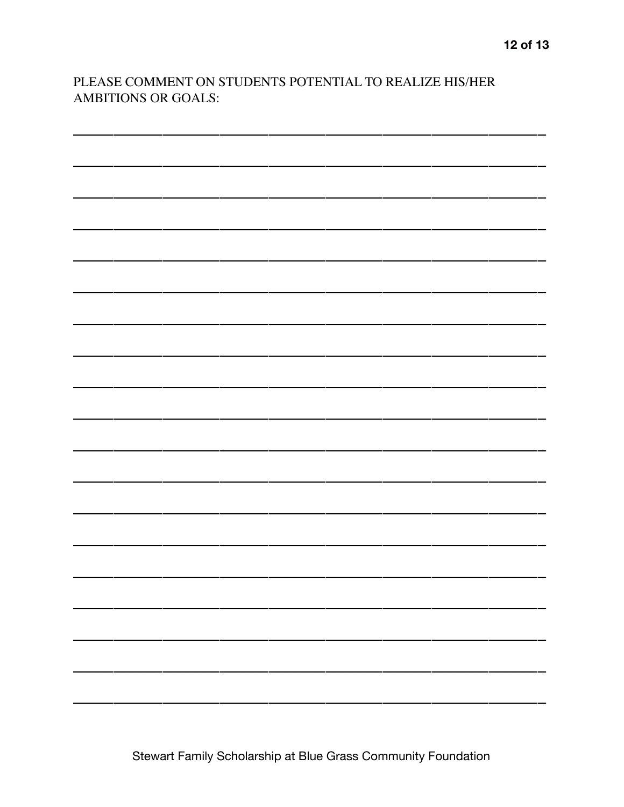PLEASE COMMENT ON STUDENTS POTENTIAL TO REALIZE HIS/HER **AMBITIONS OR GOALS:** 

Stewart Family Scholarship at Blue Grass Community Foundation